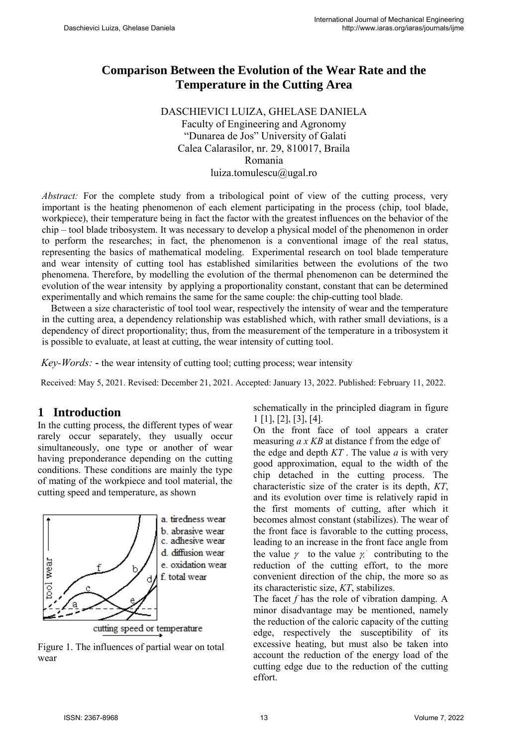# **Comparison Between the Evolution of the Wear Rate and the Temperature in the Cutting Area**

#### DASCHIEVICI LUIZA, GHELASE DANIELA Faculty of Engineering and Agronomy "Dunarea de Jos" University of Galati Calea Calarasilor, nr. 29, 810017, Braila Romania luiza.tomulescu@ugal.ro

*Abstract:* For the complete study from a tribological point of view of the cutting process, very important is the heating phenomenon of each element participating in the process (chip, tool blade, workpiece), their temperature being in fact the factor with the greatest influences on the behavior of the chip – tool blade tribosystem. It was necessary to develop a physical model of the phenomenon in order to perform the researches; in fact, the phenomenon is a conventional image of the real status, representing the basics of mathematical modeling. Experimental research on tool blade temperature and wear intensity of cutting tool has established similarities between the evolutions of the two phenomena. Therefore, by modelling the evolution of the thermal phenomenon can be determined the evolution of the wear intensity by applying a proportionality constant, constant that can be determined experimentally and which remains the same for the same couple: the chip-cutting tool blade.

Between a size characteristic of tool tool wear, respectively the intensity of wear and the temperature in the cutting area, a dependency relationship was established which, with rather small deviations, is a dependency of direct proportionality; thus, from the measurement of the temperature in a tribosystem it is possible to evaluate, at least at cutting, the wear intensity of cutting tool.

*Key-Words:* - the wear intensity of cutting tool; cutting process; wear intensity

Received: May 5, 2021. Revised: December 21, 2021. Accepted: January 13, 2022. Published: February 11, 2022.

### **1 Introduction**

In the cutting process, the different types of wear rarely occur separately, they usually occur simultaneously, one type or another of wear having preponderance depending on the cutting conditions. These conditions are mainly the type of mating of the workpiece and tool material, the cutting speed and temperature, as shown



Figure 1. The influences of partial wear on total wear

schematically in the principled diagram in figure 1 [1], [2], [3], [4].

On the front face of tool appears a crater measuring *a x KB* at distance f from the edge of the edge and depth  $KT$ . The value  $a$  is with very good approximation, equal to the width of the chip detached in the cutting process. The characteristic size of the crater is its depth, *KT*, and its evolution over time is relatively rapid in the first moments of cutting, after which it becomes almost constant (stabilizes). The wear of the front face is favorable to the cutting process, leading to an increase in the front face angle from the value  $\gamma$  to the value  $\gamma$  contributing to the reduction of the cutting effort, to the more convenient direction of the chip, the more so as its characteristic size, *KT*, stabilizes.

The facet *f* has the role of vibration damping. A minor disadvantage may be mentioned, namely the reduction of the caloric capacity of the cutting edge, respectively the susceptibility of its excessive heating, but must also be taken into account the reduction of the energy load of the cutting edge due to the reduction of the cutting effort.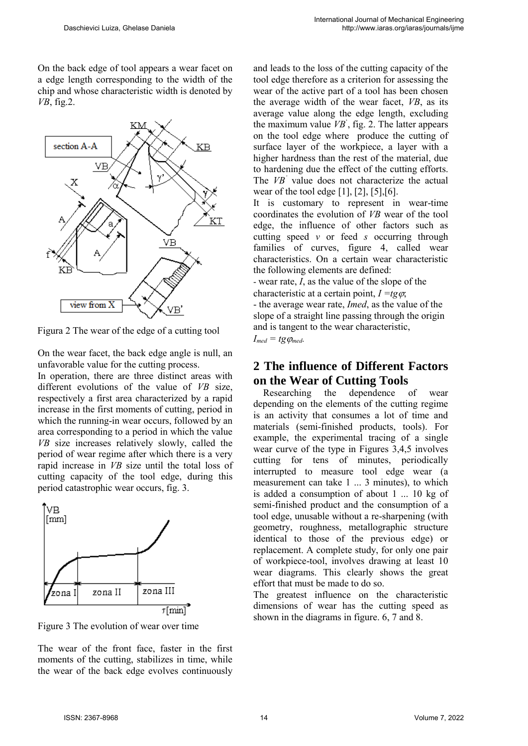On the back edge of tool appears a wear facet on a edge length corresponding to the width of the chip and whose characteristic width is denoted by *VB*, fig.2.



Figura 2 The wear of the edge of a cutting tool

On the wear facet, the back edge angle is null, an unfavorable value for the cutting process.

In operation, there are three distinct areas with different evolutions of the value of *VB* size, respectively a first area characterized by a rapid increase in the first moments of cutting, period in which the running-in wear occurs, followed by an area corresponding to a period in which the value *VB* size increases relatively slowly, called the period of wear regime after which there is a very rapid increase in *VB* size until the total loss of cutting capacity of the tool edge, during this period catastrophic wear occurs, fig. 3.



Figure 3 The evolution of wear over time

The wear of the front face, faster in the first moments of the cutting, stabilizes in time, while the wear of the back edge evolves continuously and leads to the loss of the cutting capacity of the tool edge therefore as a criterion for assessing the wear of the active part of a tool has been chosen the average width of the wear facet, *VB*, as its average value along the edge length, excluding the maximum value  $VB$ , fig. 2. The latter appears on the tool edge where produce the cutting of surface layer of the workpiece, a layer with a higher hardness than the rest of the material, due to hardening due the effect of the cutting efforts. The *VB*<sup>'</sup> value does not characterize the actual wear of the tool edge  $[1]$ ,  $[2]$ ,  $[5]$ ,  $[6]$ .

It is customary to represent in wear-time coordinates the evolution of *VB* wear of the tool edge, the influence of other factors such as cutting speed *v* or feed *s* occurring through families of curves, figure 4, called wear characteristics. On a certain wear characteristic the following elements are defined:

- wear rate, *I*, as the value of the slope of the characteristic at a certain point,  $I = t\epsilon\varphi$ ;

- the average wear rate, *Imed*, as the value of the slope of a straight line passing through the origin and is tangent to the wear characteristic,  $I_{med} = tg \varphi_{med}$ .

### **2 The influence of Different Factors on the Wear of Cutting Tools**

 Researching the dependence of wear depending on the elements of the cutting regime is an activity that consumes a lot of time and materials (semi-finished products, tools). For example, the experimental tracing of a single wear curve of the type in Figures 3,4,5 involves cutting for tens of minutes, periodically interrupted to measure tool edge wear (a measurement can take 1 ... 3 minutes), to which is added a consumption of about 1 ... 10 kg of semi-finished product and the consumption of a tool edge, unusable without a re-sharpening (with geometry, roughness, metallographic structure identical to those of the previous edge) or replacement. A complete study, for only one pair of workpiece-tool, involves drawing at least 10 wear diagrams. This clearly shows the great effort that must be made to do so.

The greatest influence on the characteristic dimensions of wear has the cutting speed as shown in the diagrams in figure. 6, 7 and 8.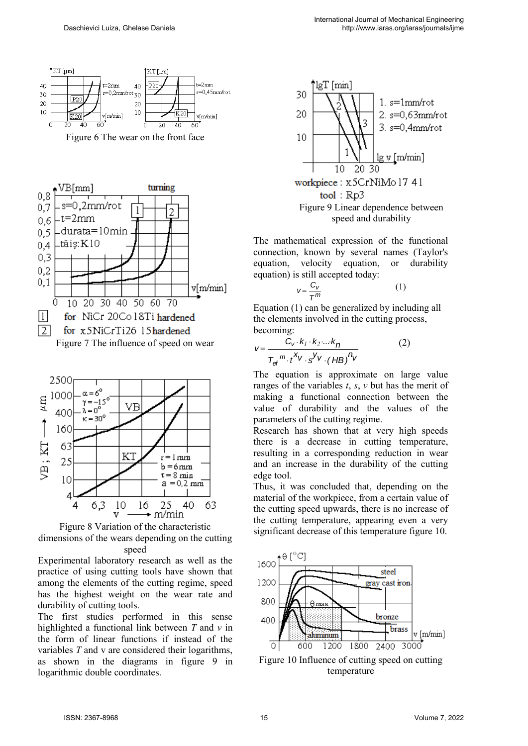

Figure 6 The wear on the front face





Figure 8 Variation of the characteristic dimensions of the wears depending on the cutting speed

Experimental laboratory research as well as the practice of using cutting tools have shown that among the elements of the cutting regime, speed has the highest weight on the wear rate and durability of cutting tools.

The first studies performed in this sense highlighted a functional link between *T* and *v* in the form of linear functions if instead of the variables *T* and v are considered their logarithms, as shown in the diagrams in figure 9 in logarithmic double coordinates.



The mathematical expression of the functional connection, known by several names (Taylor's equation, velocity equation, or durability equation) is still accepted today:

$$
V = \frac{C_V}{T^m}
$$
 (1)

Equation (1) can be generalized by including all the elements involved in the cutting process, becoming:

becoming:  
\n
$$
v = \frac{C_v \cdot k_1 \cdot k_2 \cdot ... \cdot k_n}{T_{\text{ef}}^m \cdot t^{X_V} \cdot s^{Y_V} \cdot (HB)^{n_V}}
$$
\n(2)

The equation is approximate on large value ranges of the variables *t*, *s*, *v* but has the merit of making a functional connection between the value of durability and the values of the parameters of the cutting regime.

Research has shown that at very high speeds there is a decrease in cutting temperature, resulting in a corresponding reduction in wear and an increase in the durability of the cutting edge tool.

Thus, it was concluded that, depending on the material of the workpiece, from a certain value of the cutting speed upwards, there is no increase of the cutting temperature, appearing even a very significant decrease of this temperature figure 10.



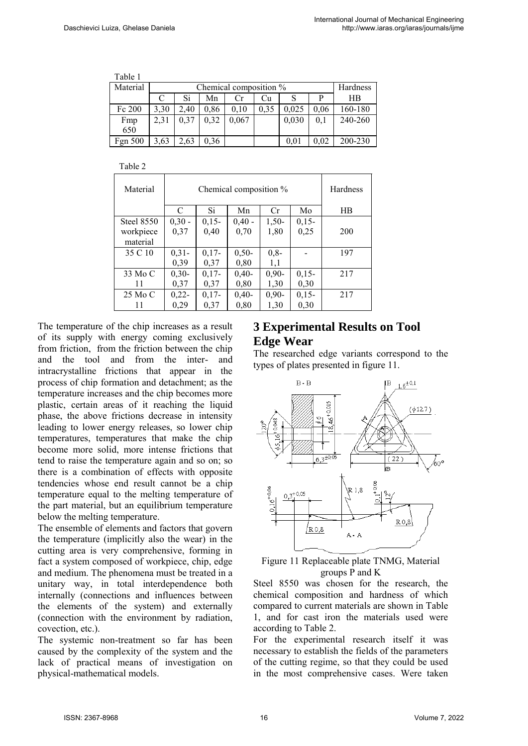| Table 1  |      |                        |      |       |      |       |      |         |  |  |
|----------|------|------------------------|------|-------|------|-------|------|---------|--|--|
| Material |      | Chemical composition % |      |       |      |       |      |         |  |  |
|          | C    | Si                     | Mn   | Cr.   | Cu   |       | Р    | HB      |  |  |
| Fc 200   | 3,30 | 2.40                   | 0,86 | 0.10  | 0.35 | 0.025 | 0.06 | 160-180 |  |  |
| Fmp      | 2,31 | 0,37                   | 0.32 | 0,067 |      | 0,030 | 0.1  | 240-260 |  |  |
| 650      |      |                        |      |       |      |       |      |         |  |  |
| Fgn 500  | 3,63 | 2,63                   | 0,36 |       |      | 0.01  | 0.02 | 200-230 |  |  |

Table 2

| Material   |          | <b>Hardness</b> |          |         |         |           |
|------------|----------|-----------------|----------|---------|---------|-----------|
|            | C        | Si              | Mn       | Cr      | Mo      | <b>HB</b> |
| Steel 8550 | $0,30 -$ | $0,15-$         | $0,40 -$ | $1,50-$ | $0,15-$ |           |
| workpiece  | 0,37     | 0,40            | 0.70     | 1,80    | 0,25    | 200       |
| material   |          |                 |          |         |         |           |
| 35 C 10    | $0,31-$  | $0,17-$         | $0,50-$  | $0,8-$  |         | 197       |
|            | 0,39     | 0,37            | 0,80     | 1,1     |         |           |
| 33 Mo C    | $0,30-$  | $0,17-$         | $0,40-$  | $0,90-$ | $0,15-$ | 217       |
| 11         | 0,37     | 0,37            | 0,80     | 1,30    | 0,30    |           |
| 25 Mo C    | $0,22-$  | $0.17 -$        | $0,40-$  | $0,90-$ | $0,15-$ | 217       |
| 11         | 0,29     | 0,37            | 0,80     | 1,30    | 0,30    |           |

The temperature of the chip increases as a result of its supply with energy coming exclusively from friction, from the friction between the chip and the tool and from the inter- and intracrystalline frictions that appear in the process of chip formation and detachment; as the temperature increases and the chip becomes more plastic, certain areas of it reaching the liquid phase, the above frictions decrease in intensity leading to lower energy releases, so lower chip temperatures, temperatures that make the chip become more solid, more intense frictions that tend to raise the temperature again and so on; so there is a combination of effects with opposite tendencies whose end result cannot be a chip temperature equal to the melting temperature of the part material, but an equilibrium temperature below the melting temperature.

The ensemble of elements and factors that govern the temperature (implicitly also the wear) in the cutting area is very comprehensive, forming in fact a system composed of workpiece, chip, edge and medium. The phenomena must be treated in a unitary way, in total interdependence both internally (connections and influences between the elements of the system) and externally (connection with the environment by radiation, covection, etc.).

The systemic non-treatment so far has been caused by the complexity of the system and the lack of practical means of investigation on physical-mathematical models.

# **3 Experimental Results on Tool Edge Wear**

The researched edge variants correspond to the types of plates presented in figure 11.



Figure 11 Replaceable plate TNMG, Material groups P and K

Steel 8550 was chosen for the research, the chemical composition and hardness of which compared to current materials are shown in Table 1, and for cast iron the materials used were according to Table 2.

For the experimental research itself it was necessary to establish the fields of the parameters of the cutting regime, so that they could be used in the most comprehensive cases. Were taken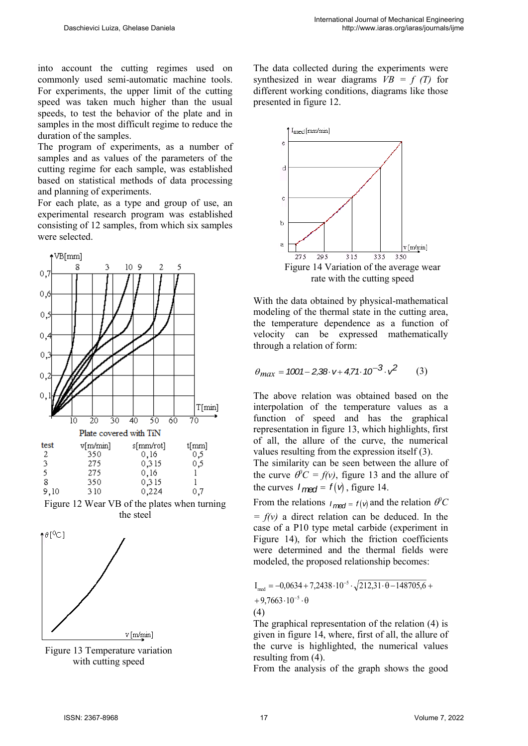into account the cutting regimes used on commonly used semi-automatic machine tools. For experiments, the upper limit of the cutting speed was taken much higher than the usual speeds, to test the behavior of the plate and in samples in the most difficult regime to reduce the duration of the samples.

The program of experiments, as a number of samples and as values of the parameters of the cutting regime for each sample, was established based on statistical methods of data processing and planning of experiments.

For each plate, as a type and group of use, an experimental research program was established consisting of 12 samples, from which six samples were selected.



Figure 12 Wear VB of the plates when turning the steel



Figure 13 Temperature variation with cutting speed

The data collected during the experiments were synthesized in wear diagrams  $VB = f(T)$  for different working conditions, diagrams like those presented in figure 12.



With the data obtained by physical-mathematical modeling of the thermal state in the cutting area, the temperature dependence as a function of velocity can be expressed mathematically through a relation of form:

$$
\theta_{max} = 1001 - 2,38 \cdot v + 4,71 \cdot 10^{-3} \cdot v^2 \tag{3}
$$

The above relation was obtained based on the interpolation of the temperature values as a function of speed and has the graphical representation in figure 13, which highlights, first of all, the allure of the curve, the numerical values resulting from the expression itself (3).

The similarity can be seen between the allure of the curve  $\theta$ <sup>*C*</sup> = *f*(*v*), figure 13 and the allure of the curves  $I_{\text{med}} = f(\nu)$ , figure 14.

From the relations  $I_{\text{med}} = f(\theta)$  and the relation  $\theta$ <sup>*C*</sup>  $= f(v)$  a direct relation can be deduced. In the case of a P10 type metal carbide (experiment in Figure 14), for which the friction coefficients were determined and the thermal fields were modeled, the proposed relationship becomes:

$$
I_{med} = -0.0634 + 7.2438 \cdot 10^{-5} \cdot \sqrt{212.31 \cdot \theta - 148705.6} +
$$
  
+9.7663 \cdot 10^{-5} \cdot \theta  
(4)

The graphical representation of the relation (4) is given in figure 14, where, first of all, the allure of the curve is highlighted, the numerical values resulting from (4).

From the analysis of the graph shows the good